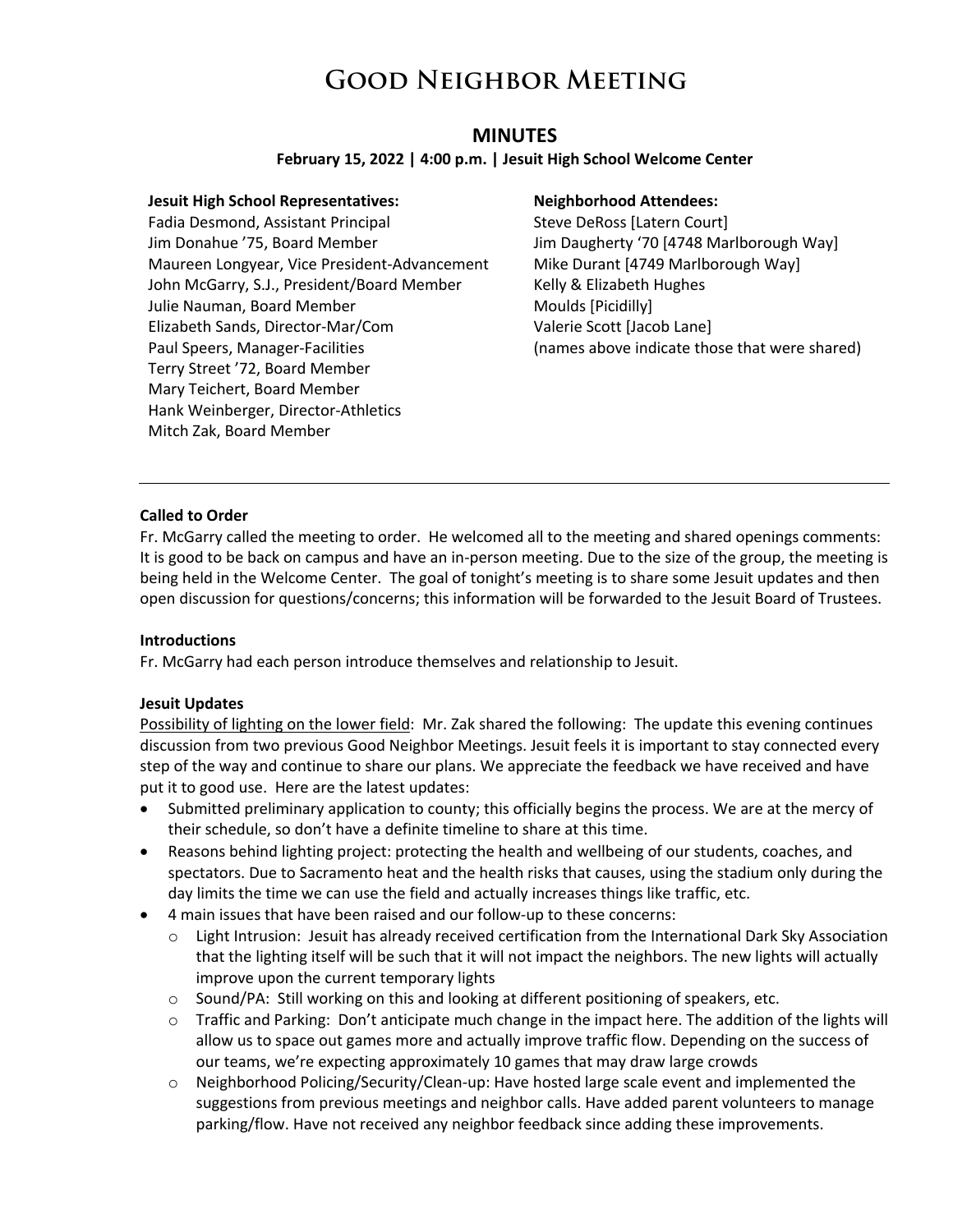### **MINUTES**

#### **February 15, 2022 | 4:00 p.m. | Jesuit High School Welcome Center**

#### **Jesuit High School Representatives:**

Fadia Desmond, Assistant Principal Jim Donahue '75, Board Member Maureen Longyear, Vice President-Advancement John McGarry, S.J., President/Board Member Julie Nauman, Board Member Elizabeth Sands, Director-Mar/Com Paul Speers, Manager-Facilities Terry Street '72, Board Member Mary Teichert, Board Member Hank Weinberger, Director-Athletics Mitch Zak, Board Member

#### **Neighborhood Attendees:**

Steve DeRoss [Latern Court] Jim Daugherty '70 [4748 Marlborough Way] Mike Durant [4749 Marlborough Way] Kelly & Elizabeth Hughes Moulds [Picidilly] Valerie Scott [Jacob Lane] (names above indicate those that were shared)

#### **Called to Order**

Fr. McGarry called the meeting to order. He welcomed all to the meeting and shared openings comments: It is good to be back on campus and have an in-person meeting. Due to the size of the group, the meeting is being held in the Welcome Center. The goal of tonight's meeting is to share some Jesuit updates and then open discussion for questions/concerns; this information will be forwarded to the Jesuit Board of Trustees.

#### **Introductions**

Fr. McGarry had each person introduce themselves and relationship to Jesuit.

#### **Jesuit Updates**

Possibility of lighting on the lower field: Mr. Zak shared the following: The update this evening continues discussion from two previous Good Neighbor Meetings. Jesuit feels it is important to stay connected every step of the way and continue to share our plans. We appreciate the feedback we have received and have put it to good use. Here are the latest updates:

- Submitted preliminary application to county; this officially begins the process. We are at the mercy of their schedule, so don't have a definite timeline to share at this time.
- Reasons behind lighting project: protecting the health and wellbeing of our students, coaches, and spectators. Due to Sacramento heat and the health risks that causes, using the stadium only during the day limits the time we can use the field and actually increases things like traffic, etc.
- 4 main issues that have been raised and our follow-up to these concerns:
	- $\circ$  Light Intrusion: Jesuit has already received certification from the International Dark Sky Association that the lighting itself will be such that it will not impact the neighbors. The new lights will actually improve upon the current temporary lights
	- o Sound/PA: Still working on this and looking at different positioning of speakers, etc.
	- $\circ$  Traffic and Parking: Don't anticipate much change in the impact here. The addition of the lights will allow us to space out games more and actually improve traffic flow. Depending on the success of our teams, we're expecting approximately 10 games that may draw large crowds
	- $\circ$  Neighborhood Policing/Security/Clean-up: Have hosted large scale event and implemented the suggestions from previous meetings and neighbor calls. Have added parent volunteers to manage parking/flow. Have not received any neighbor feedback since adding these improvements.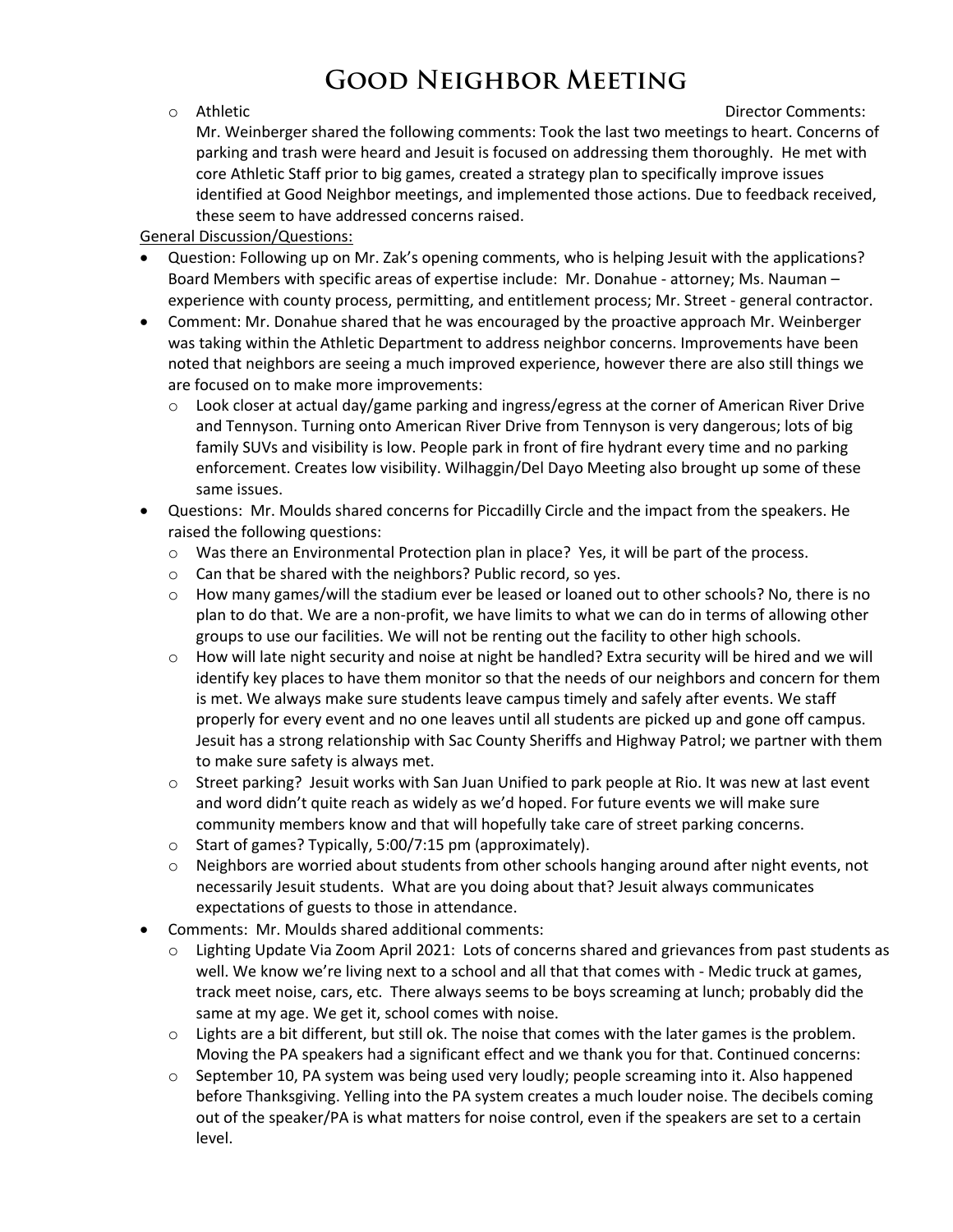o Athletic Director Comments:

Mr. Weinberger shared the following comments: Took the last two meetings to heart. Concerns of parking and trash were heard and Jesuit is focused on addressing them thoroughly. He met with core Athletic Staff prior to big games, created a strategy plan to specifically improve issues identified at Good Neighbor meetings, and implemented those actions. Due to feedback received, these seem to have addressed concerns raised.

#### General Discussion/Questions:

- Question: Following up on Mr. Zak's opening comments, who is helping Jesuit with the applications? Board Members with specific areas of expertise include: Mr. Donahue - attorney; Ms. Nauman – experience with county process, permitting, and entitlement process; Mr. Street - general contractor.
- Comment: Mr. Donahue shared that he was encouraged by the proactive approach Mr. Weinberger was taking within the Athletic Department to address neighbor concerns. Improvements have been noted that neighbors are seeing a much improved experience, however there are also still things we are focused on to make more improvements:
	- $\circ$  Look closer at actual day/game parking and ingress/egress at the corner of American River Drive and Tennyson. Turning onto American River Drive from Tennyson is very dangerous; lots of big family SUVs and visibility is low. People park in front of fire hydrant every time and no parking enforcement. Creates low visibility. Wilhaggin/Del Dayo Meeting also brought up some of these same issues.
- Questions: Mr. Moulds shared concerns for Piccadilly Circle and the impact from the speakers. He raised the following questions:
	- $\circ$  Was there an Environmental Protection plan in place? Yes, it will be part of the process.
	- o Can that be shared with the neighbors? Public record, so yes.
	- $\circ$  How many games/will the stadium ever be leased or loaned out to other schools? No, there is no plan to do that. We are a non-profit, we have limits to what we can do in terms of allowing other groups to use our facilities. We will not be renting out the facility to other high schools.
	- o How will late night security and noise at night be handled? Extra security will be hired and we will identify key places to have them monitor so that the needs of our neighbors and concern for them is met. We always make sure students leave campus timely and safely after events. We staff properly for every event and no one leaves until all students are picked up and gone off campus. Jesuit has a strong relationship with Sac County Sheriffs and Highway Patrol; we partner with them to make sure safety is always met.
	- o Street parking? Jesuit works with San Juan Unified to park people at Rio. It was new at last event and word didn't quite reach as widely as we'd hoped. For future events we will make sure community members know and that will hopefully take care of street parking concerns.
	- o Start of games? Typically, 5:00/7:15 pm (approximately).
	- $\circ$  Neighbors are worried about students from other schools hanging around after night events, not necessarily Jesuit students. What are you doing about that? Jesuit always communicates expectations of guests to those in attendance.
- Comments: Mr. Moulds shared additional comments:
	- Lighting Update Via Zoom April 2021: Lots of concerns shared and grievances from past students as well. We know we're living next to a school and all that that comes with - Medic truck at games, track meet noise, cars, etc. There always seems to be boys screaming at lunch; probably did the same at my age. We get it, school comes with noise.
	- $\circ$  Lights are a bit different, but still ok. The noise that comes with the later games is the problem. Moving the PA speakers had a significant effect and we thank you for that. Continued concerns:
	- $\circ$  September 10, PA system was being used very loudly; people screaming into it. Also happened before Thanksgiving. Yelling into the PA system creates a much louder noise. The decibels coming out of the speaker/PA is what matters for noise control, even if the speakers are set to a certain level.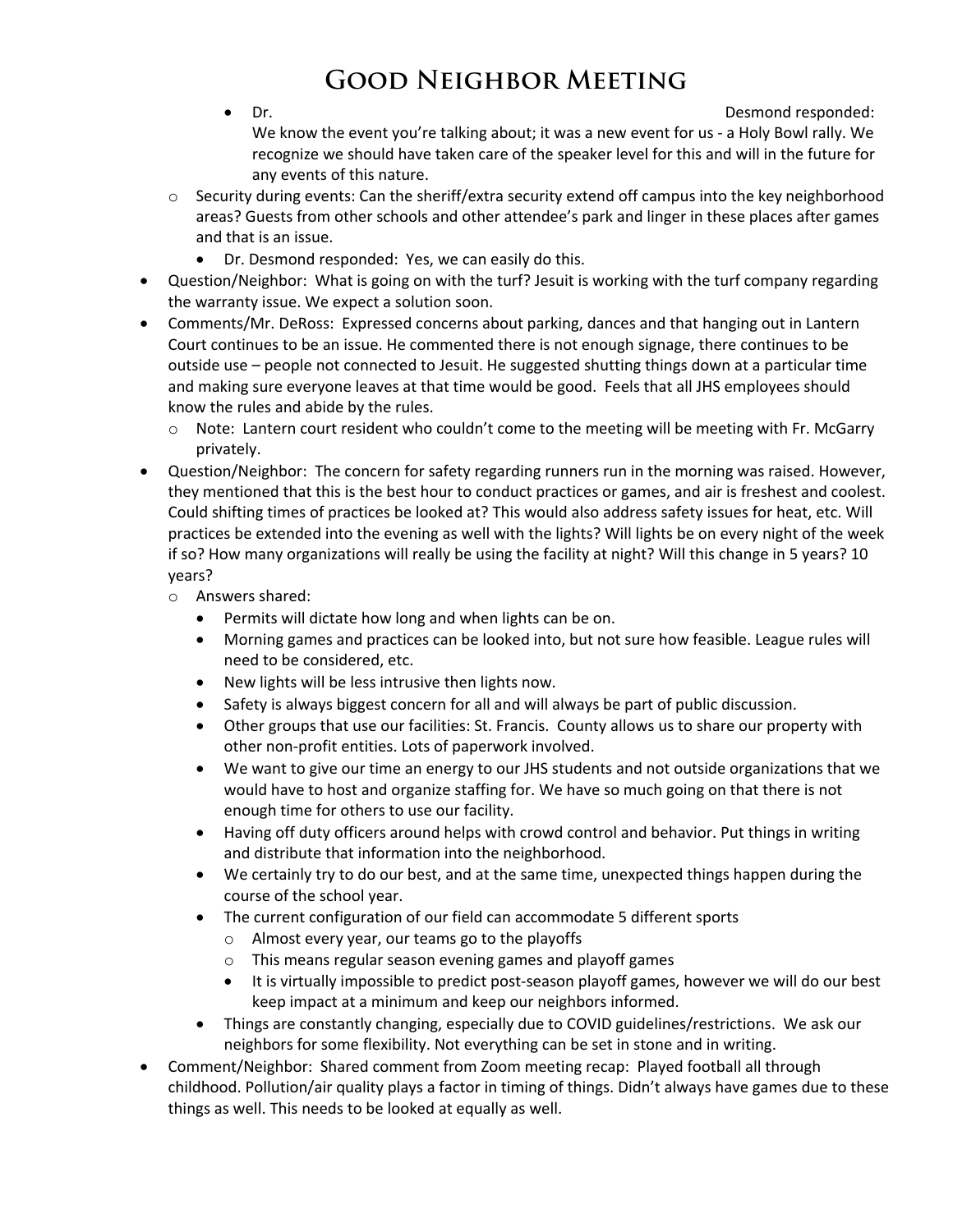• Dr. Desmond responded:

We know the event you're talking about; it was a new event for us - a Holy Bowl rally. We recognize we should have taken care of the speaker level for this and will in the future for any events of this nature.

- $\circ$  Security during events: Can the sheriff/extra security extend off campus into the key neighborhood areas? Guests from other schools and other attendee's park and linger in these places after games and that is an issue.
	- Dr. Desmond responded: Yes, we can easily do this.
- Question/Neighbor: What is going on with the turf? Jesuit is working with the turf company regarding the warranty issue. We expect a solution soon.
- Comments/Mr. DeRoss: Expressed concerns about parking, dances and that hanging out in Lantern Court continues to be an issue. He commented there is not enough signage, there continues to be outside use – people not connected to Jesuit. He suggested shutting things down at a particular time and making sure everyone leaves at that time would be good. Feels that all JHS employees should know the rules and abide by the rules.
	- o Note: Lantern court resident who couldn't come to the meeting will be meeting with Fr. McGarry privately.
- Question/Neighbor: The concern for safety regarding runners run in the morning was raised. However, they mentioned that this is the best hour to conduct practices or games, and air is freshest and coolest. Could shifting times of practices be looked at? This would also address safety issues for heat, etc. Will practices be extended into the evening as well with the lights? Will lights be on every night of the week if so? How many organizations will really be using the facility at night? Will this change in 5 years? 10 years?
	- o Answers shared:
		- Permits will dictate how long and when lights can be on.
		- Morning games and practices can be looked into, but not sure how feasible. League rules will need to be considered, etc.
		- New lights will be less intrusive then lights now.
		- Safety is always biggest concern for all and will always be part of public discussion.
		- Other groups that use our facilities: St. Francis. County allows us to share our property with other non-profit entities. Lots of paperwork involved.
		- We want to give our time an energy to our JHS students and not outside organizations that we would have to host and organize staffing for. We have so much going on that there is not enough time for others to use our facility.
		- Having off duty officers around helps with crowd control and behavior. Put things in writing and distribute that information into the neighborhood.
		- We certainly try to do our best, and at the same time, unexpected things happen during the course of the school year.
		- The current configuration of our field can accommodate 5 different sports
			- o Almost every year, our teams go to the playoffs
			- o This means regular season evening games and playoff games
			- It is virtually impossible to predict post-season playoff games, however we will do our best keep impact at a minimum and keep our neighbors informed.
		- Things are constantly changing, especially due to COVID guidelines/restrictions. We ask our neighbors for some flexibility. Not everything can be set in stone and in writing.
- Comment/Neighbor: Shared comment from Zoom meeting recap: Played football all through childhood. Pollution/air quality plays a factor in timing of things. Didn't always have games due to these things as well. This needs to be looked at equally as well.